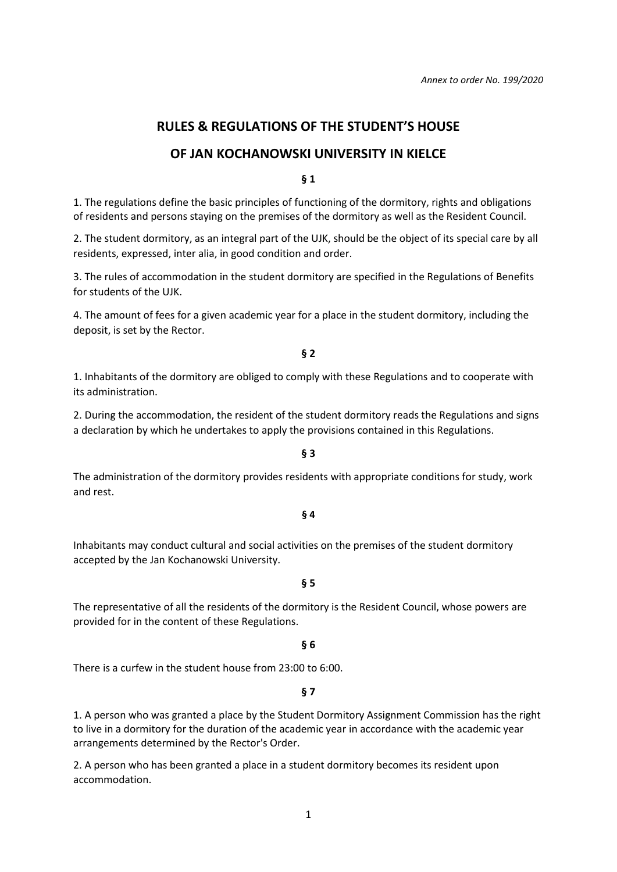# **RULES & REGULATIONS OF THE STUDENT'S HOUSE**

# **OF JAN KOCHANOWSKI UNIVERSITY IN KIELCE**

**§ 1**

1. The regulations define the basic principles of functioning of the dormitory, rights and obligations of residents and persons staying on the premises of the dormitory as well as the Resident Council.

2. The student dormitory, as an integral part of the UJK, should be the object of its special care by all residents, expressed, inter alia, in good condition and order.

3. The rules of accommodation in the student dormitory are specified in the Regulations of Benefits for students of the UJK.

4. The amount of fees for a given academic year for a place in the student dormitory, including the deposit, is set by the Rector.

**§ 2**

1. Inhabitants of the dormitory are obliged to comply with these Regulations and to cooperate with its administration.

2. During the accommodation, the resident of the student dormitory reads the Regulations and signs a declaration by which he undertakes to apply the provisions contained in this Regulations.

**§ 3**

The administration of the dormitory provides residents with appropriate conditions for study, work and rest.

**§ 4**

Inhabitants may conduct cultural and social activities on the premises of the student dormitory accepted by the Jan Kochanowski University.

**§ 5**

The representative of all the residents of the dormitory is the Resident Council, whose powers are provided for in the content of these Regulations.

**§ 6**

There is a curfew in the student house from 23:00 to 6:00.

**§ 7**

1. A person who was granted a place by the Student Dormitory Assignment Commission has the right to live in a dormitory for the duration of the academic year in accordance with the academic year arrangements determined by the Rector's Order.

2. A person who has been granted a place in a student dormitory becomes its resident upon accommodation.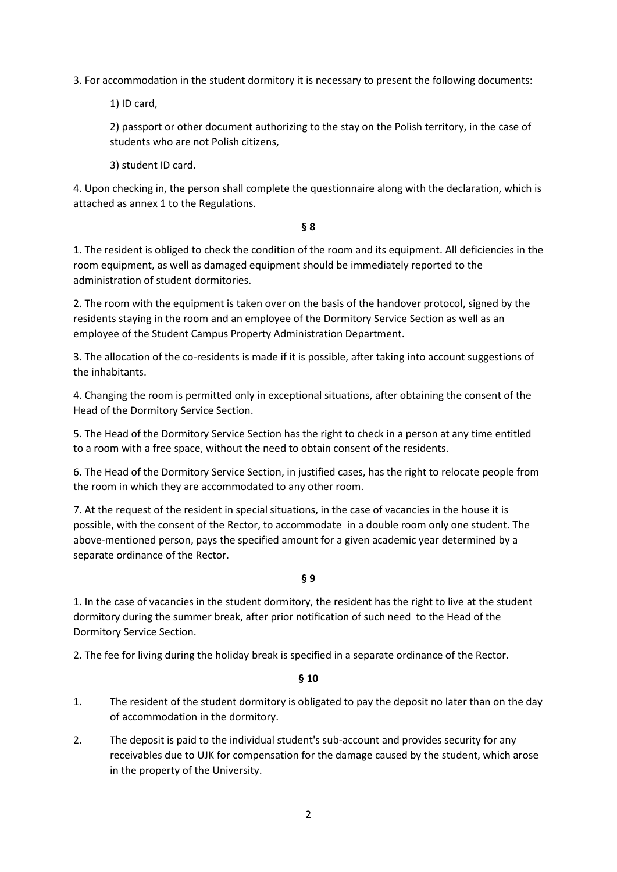3. For accommodation in the student dormitory it is necessary to present the following documents:

1) ID card,

2) passport or other document authorizing to the stay on the Polish territory, in the case of students who are not Polish citizens,

3) student ID card.

4. Upon checking in, the person shall complete the questionnaire along with the declaration, which is attached as annex 1 to the Regulations.

## **§ 8**

1. The resident is obliged to check the condition of the room and its equipment. All deficiencies in the room equipment, as well as damaged equipment should be immediately reported to the administration of student dormitories.

2. The room with the equipment is taken over on the basis of the handover protocol, signed by the residents staying in the room and an employee of the Dormitory Service Section as well as an employee of the Student Campus Property Administration Department.

3. The allocation of the co-residents is made if it is possible, after taking into account suggestions of the inhabitants.

4. Changing the room is permitted only in exceptional situations, after obtaining the consent of the Head of the Dormitory Service Section.

5. The Head of the Dormitory Service Section has the right to check in a person at any time entitled to a room with a free space, without the need to obtain consent of the residents.

6. The Head of the Dormitory Service Section, in justified cases, has the right to relocate people from the room in which they are accommodated to any other room.

7. At the request of the resident in special situations, in the case of vacancies in the house it is possible, with the consent of the Rector, to accommodate in a double room only one student. The above-mentioned person, pays the specified amount for a given academic year determined by a separate ordinance of the Rector.

## **§ 9**

1. In the case of vacancies in the student dormitory, the resident has the right to live at the student dormitory during the summer break, after prior notification of such need to the Head of the Dormitory Service Section.

2. The fee for living during the holiday break is specified in a separate ordinance of the Rector.

- 1. The resident of the student dormitory is obligated to pay the deposit no later than on the day of accommodation in the dormitory.
- 2. The deposit is paid to the individual student's sub-account and provides security for any receivables due to UJK for compensation for the damage caused by the student, which arose in the property of the University.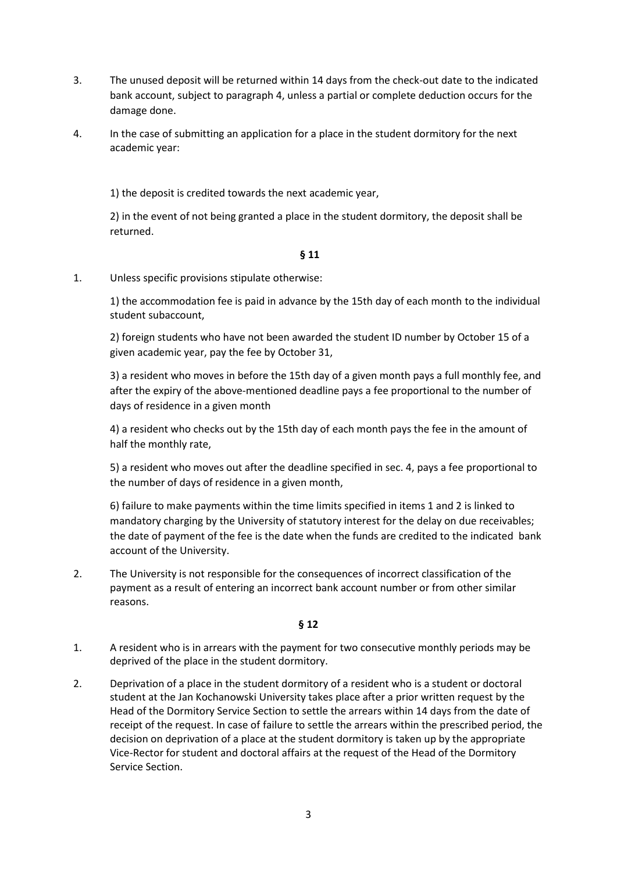- 3. The unused deposit will be returned within 14 days from the check-out date to the indicated bank account, subject to paragraph 4, unless a partial or complete deduction occurs for the damage done.
- 4. In the case of submitting an application for a place in the student dormitory for the next academic year:

1) the deposit is credited towards the next academic year,

2) in the event of not being granted a place in the student dormitory, the deposit shall be returned.

## **§ 11**

1. Unless specific provisions stipulate otherwise:

1) the accommodation fee is paid in advance by the 15th day of each month to the individual student subaccount,

2) foreign students who have not been awarded the student ID number by October 15 of a given academic year, pay the fee by October 31,

3) a resident who moves in before the 15th day of a given month pays a full monthly fee, and after the expiry of the above-mentioned deadline pays a fee proportional to the number of days of residence in a given month

4) a resident who checks out by the 15th day of each month pays the fee in the amount of half the monthly rate,

5) a resident who moves out after the deadline specified in sec. 4, pays a fee proportional to the number of days of residence in a given month,

6) failure to make payments within the time limits specified in items 1 and 2 is linked to mandatory charging by the University of statutory interest for the delay on due receivables; the date of payment of the fee is the date when the funds are credited to the indicated bank account of the University.

2. The University is not responsible for the consequences of incorrect classification of the payment as a result of entering an incorrect bank account number or from other similar reasons.

- 1. A resident who is in arrears with the payment for two consecutive monthly periods may be deprived of the place in the student dormitory.
- 2. Deprivation of a place in the student dormitory of a resident who is a student or doctoral student at the Jan Kochanowski University takes place after a prior written request by the Head of the Dormitory Service Section to settle the arrears within 14 days from the date of receipt of the request. In case of failure to settle the arrears within the prescribed period, the decision on deprivation of a place at the student dormitory is taken up by the appropriate Vice-Rector for student and doctoral affairs at the request of the Head of the Dormitory Service Section.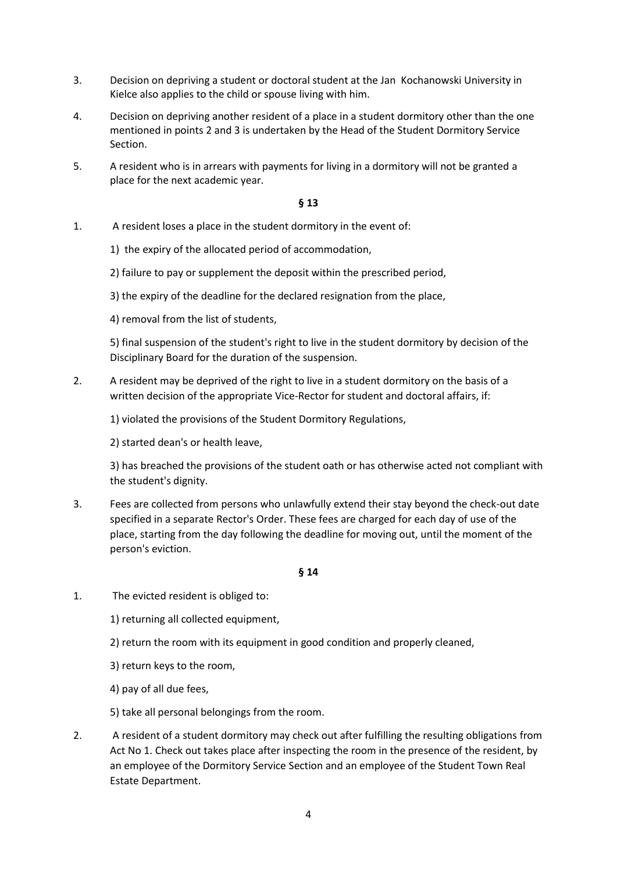- 3. Decision on depriving a student or doctoral student at the Jan Kochanowski University in Kielce also applies to the child or spouse living with him.
- 4. Decision on depriving another resident of a place in a student dormitory other than the one mentioned in points 2 and 3 is undertaken by the Head of the Student Dormitory Service Section.
- 5. A resident who is in arrears with payments for living in a dormitory will not be granted a place for the next academic year.

- 1. A resident loses a place in the student dormitory in the event of:
	- 1) the expiry of the allocated period of accommodation,
	- 2) failure to pay or supplement the deposit within the prescribed period,
	- 3) the expiry of the deadline for the declared resignation from the place,
	- 4) removal from the list of students,

5) final suspension of the student's right to live in the student dormitory by decision of the Disciplinary Board for the duration of the suspension.

- 2. A resident may be deprived of the right to live in a student dormitory on the basis of a written decision of the appropriate Vice-Rector for student and doctoral affairs, if:
	- 1) violated the provisions of the Student Dormitory Regulations,
	- 2) started dean's or health leave,

3) has breached the provisions of the student oath or has otherwise acted not compliant with the student's dignity.

3. Fees are collected from persons who unlawfully extend their stay beyond the check-out date specified in a separate Rector's Order. These fees are charged for each day of use of the place, starting from the day following the deadline for moving out, until the moment of the person's eviction.

- 1. The evicted resident is obliged to:
	- 1) returning all collected equipment,
	- 2) return the room with its equipment in good condition and properly cleaned,
	- 3) return keys to the room,
	- 4) pay of all due fees,
	- 5) take all personal belongings from the room.
- 2. A resident of a student dormitory may check out after fulfilling the resulting obligations from Act No 1. Check out takes place after inspecting the room in the presence of the resident, by an employee of the Dormitory Service Section and an employee of the Student Town Real Estate Department.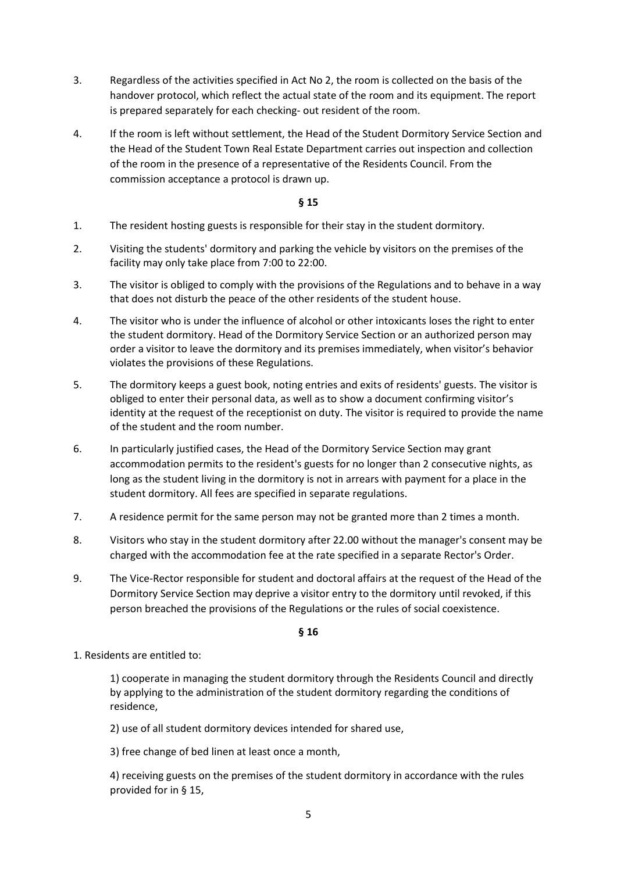- 3. Regardless of the activities specified in Act No 2, the room is collected on the basis of the handover protocol, which reflect the actual state of the room and its equipment. The report is prepared separately for each checking- out resident of the room.
- 4. If the room is left without settlement, the Head of the Student Dormitory Service Section and the Head of the Student Town Real Estate Department carries out inspection and collection of the room in the presence of a representative of the Residents Council. From the commission acceptance a protocol is drawn up.

- 1. The resident hosting guests is responsible for their stay in the student dormitory.
- 2. Visiting the students' dormitory and parking the vehicle by visitors on the premises of the facility may only take place from 7:00 to 22:00.
- 3. The visitor is obliged to comply with the provisions of the Regulations and to behave in a way that does not disturb the peace of the other residents of the student house.
- 4. The visitor who is under the influence of alcohol or other intoxicants loses the right to enter the student dormitory. Head of the Dormitory Service Section or an authorized person may order a visitor to leave the dormitory and its premises immediately, when visitor's behavior violates the provisions of these Regulations.
- 5. The dormitory keeps a guest book, noting entries and exits of residents' guests. The visitor is obliged to enter their personal data, as well as to show a document confirming visitor's identity at the request of the receptionist on duty. The visitor is required to provide the name of the student and the room number.
- 6. In particularly justified cases, the Head of the Dormitory Service Section may grant accommodation permits to the resident's guests for no longer than 2 consecutive nights, as long as the student living in the dormitory is not in arrears with payment for a place in the student dormitory. All fees are specified in separate regulations.
- 7. A residence permit for the same person may not be granted more than 2 times a month.
- 8. Visitors who stay in the student dormitory after 22.00 without the manager's consent may be charged with the accommodation fee at the rate specified in a separate Rector's Order.
- 9. The Vice-Rector responsible for student and doctoral affairs at the request of the Head of the Dormitory Service Section may deprive a visitor entry to the dormitory until revoked, if this person breached the provisions of the Regulations or the rules of social coexistence.

### **§ 16**

1. Residents are entitled to:

1) cooperate in managing the student dormitory through the Residents Council and directly by applying to the administration of the student dormitory regarding the conditions of residence,

2) use of all student dormitory devices intended for shared use,

3) free change of bed linen at least once a month,

4) receiving guests on the premises of the student dormitory in accordance with the rules provided for in § 15,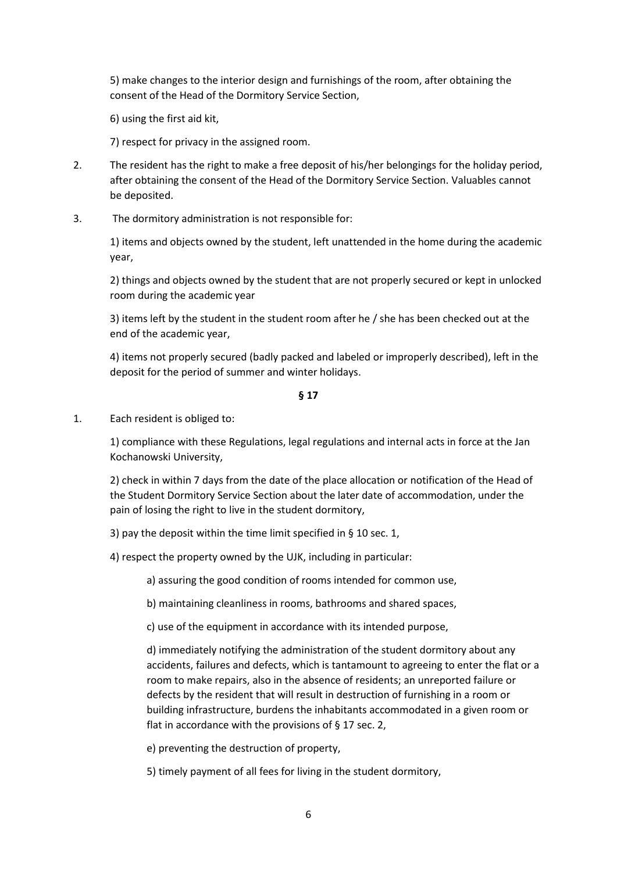5) make changes to the interior design and furnishings of the room, after obtaining the consent of the Head of the Dormitory Service Section,

6) using the first aid kit,

7) respect for privacy in the assigned room.

- 2. The resident has the right to make a free deposit of his/her belongings for the holiday period, after obtaining the consent of the Head of the Dormitory Service Section. Valuables cannot be deposited.
- 3. The dormitory administration is not responsible for:

1) items and objects owned by the student, left unattended in the home during the academic year,

2) things and objects owned by the student that are not properly secured or kept in unlocked room during the academic year

3) items left by the student in the student room after he / she has been checked out at the end of the academic year,

4) items not properly secured (badly packed and labeled or improperly described), left in the deposit for the period of summer and winter holidays.

#### **§ 17**

### 1. Each resident is obliged to:

1) compliance with these Regulations, legal regulations and internal acts in force at the Jan Kochanowski University,

2) check in within 7 days from the date of the place allocation or notification of the Head of the Student Dormitory Service Section about the later date of accommodation, under the pain of losing the right to live in the student dormitory,

3) pay the deposit within the time limit specified in § 10 sec. 1,

4) respect the property owned by the UJK, including in particular:

a) assuring the good condition of rooms intended for common use,

b) maintaining cleanliness in rooms, bathrooms and shared spaces,

c) use of the equipment in accordance with its intended purpose,

d) immediately notifying the administration of the student dormitory about any accidents, failures and defects, which is tantamount to agreeing to enter the flat or a room to make repairs, also in the absence of residents; an unreported failure or defects by the resident that will result in destruction of furnishing in a room or building infrastructure, burdens the inhabitants accommodated in a given room or flat in accordance with the provisions of § 17 sec. 2,

e) preventing the destruction of property,

5) timely payment of all fees for living in the student dormitory,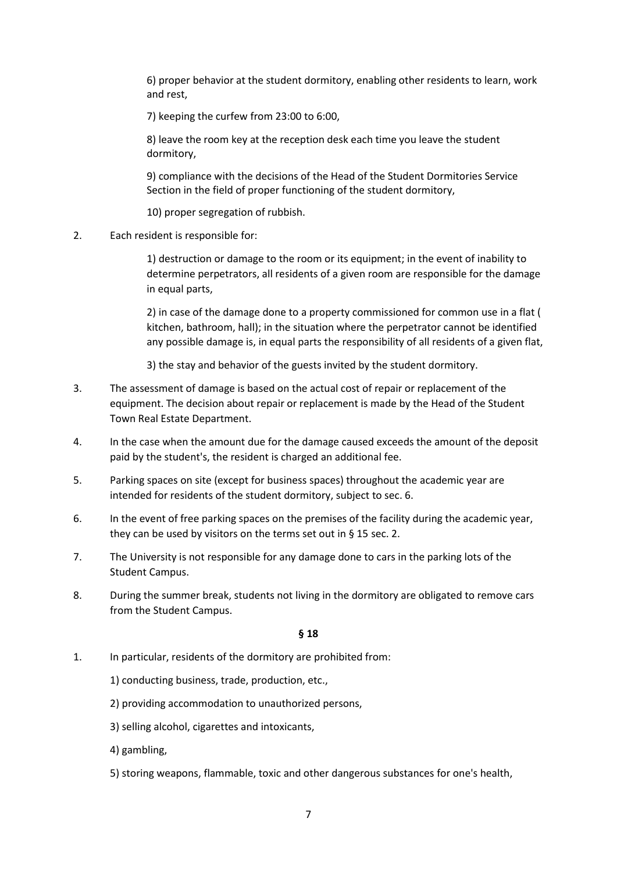6) proper behavior at the student dormitory, enabling other residents to learn, work and rest,

7) keeping the curfew from 23:00 to 6:00,

8) leave the room key at the reception desk each time you leave the student dormitory,

9) compliance with the decisions of the Head of the Student Dormitories Service Section in the field of proper functioning of the student dormitory,

10) proper segregation of rubbish.

2. Each resident is responsible for:

1) destruction or damage to the room or its equipment; in the event of inability to determine perpetrators, all residents of a given room are responsible for the damage in equal parts,

2) in case of the damage done to a property commissioned for common use in a flat ( kitchen, bathroom, hall); in the situation where the perpetrator cannot be identified any possible damage is, in equal parts the responsibility of all residents of a given flat,

3) the stay and behavior of the guests invited by the student dormitory.

- 3. The assessment of damage is based on the actual cost of repair or replacement of the equipment. The decision about repair or replacement is made by the Head of the Student Town Real Estate Department.
- 4. In the case when the amount due for the damage caused exceeds the amount of the deposit paid by the student's, the resident is charged an additional fee.
- 5. Parking spaces on site (except for business spaces) throughout the academic year are intended for residents of the student dormitory, subject to sec. 6.
- 6. In the event of free parking spaces on the premises of the facility during the academic year, they can be used by visitors on the terms set out in § 15 sec. 2.
- 7. The University is not responsible for any damage done to cars in the parking lots of the Student Campus.
- 8. During the summer break, students not living in the dormitory are obligated to remove cars from the Student Campus.

- 1. In particular, residents of the dormitory are prohibited from:
	- 1) conducting business, trade, production, etc.,
	- 2) providing accommodation to unauthorized persons,
	- 3) selling alcohol, cigarettes and intoxicants,
	- 4) gambling,
	- 5) storing weapons, flammable, toxic and other dangerous substances for one's health,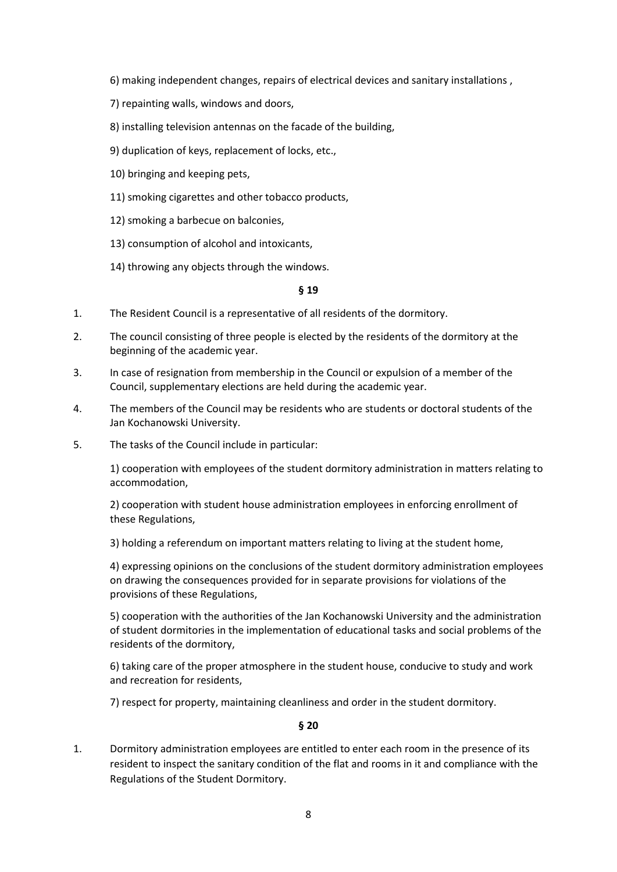- 6) making independent changes, repairs of electrical devices and sanitary installations ,
- 7) repainting walls, windows and doors,
- 8) installing television antennas on the facade of the building,
- 9) duplication of keys, replacement of locks, etc.,
- 10) bringing and keeping pets,
- 11) smoking cigarettes and other tobacco products,
- 12) smoking a barbecue on balconies,
- 13) consumption of alcohol and intoxicants,
- 14) throwing any objects through the windows.

- 1. The Resident Council is a representative of all residents of the dormitory.
- 2. The council consisting of three people is elected by the residents of the dormitory at the beginning of the academic year.
- 3. In case of resignation from membership in the Council or expulsion of a member of the Council, supplementary elections are held during the academic year.
- 4. The members of the Council may be residents who are students or doctoral students of the Jan Kochanowski University.
- 5. The tasks of the Council include in particular:

1) cooperation with employees of the student dormitory administration in matters relating to accommodation,

2) cooperation with student house administration employees in enforcing enrollment of these Regulations,

3) holding a referendum on important matters relating to living at the student home,

4) expressing opinions on the conclusions of the student dormitory administration employees on drawing the consequences provided for in separate provisions for violations of the provisions of these Regulations,

5) cooperation with the authorities of the Jan Kochanowski University and the administration of student dormitories in the implementation of educational tasks and social problems of the residents of the dormitory,

6) taking care of the proper atmosphere in the student house, conducive to study and work and recreation for residents,

7) respect for property, maintaining cleanliness and order in the student dormitory.

### **§ 20**

1. Dormitory administration employees are entitled to enter each room in the presence of its resident to inspect the sanitary condition of the flat and rooms in it and compliance with the Regulations of the Student Dormitory.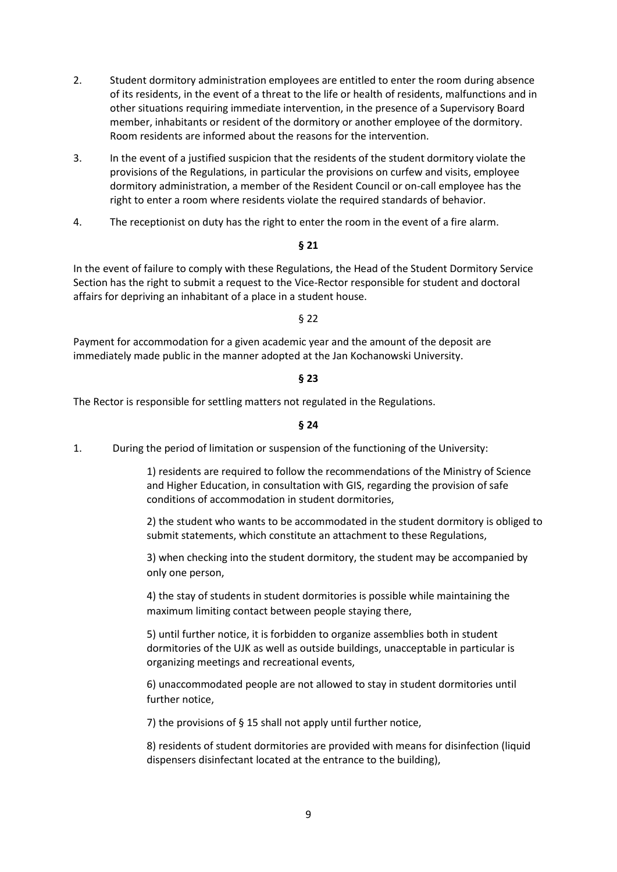- 2. Student dormitory administration employees are entitled to enter the room during absence of its residents, in the event of a threat to the life or health of residents, malfunctions and in other situations requiring immediate intervention, in the presence of a Supervisory Board member, inhabitants or resident of the dormitory or another employee of the dormitory. Room residents are informed about the reasons for the intervention.
- 3. In the event of a justified suspicion that the residents of the student dormitory violate the provisions of the Regulations, in particular the provisions on curfew and visits, employee dormitory administration, a member of the Resident Council or on-call employee has the right to enter a room where residents violate the required standards of behavior.
- 4. The receptionist on duty has the right to enter the room in the event of a fire alarm.

In the event of failure to comply with these Regulations, the Head of the Student Dormitory Service Section has the right to submit a request to the Vice-Rector responsible for student and doctoral affairs for depriving an inhabitant of a place in a student house.

#### § 22

Payment for accommodation for a given academic year and the amount of the deposit are immediately made public in the manner adopted at the Jan Kochanowski University.

#### **§ 23**

The Rector is responsible for settling matters not regulated in the Regulations.

**§ 24**

1. During the period of limitation or suspension of the functioning of the University:

1) residents are required to follow the recommendations of the Ministry of Science and Higher Education, in consultation with GIS, regarding the provision of safe conditions of accommodation in student dormitories,

2) the student who wants to be accommodated in the student dormitory is obliged to submit statements, which constitute an attachment to these Regulations,

3) when checking into the student dormitory, the student may be accompanied by only one person,

4) the stay of students in student dormitories is possible while maintaining the maximum limiting contact between people staying there,

5) until further notice, it is forbidden to organize assemblies both in student dormitories of the UJK as well as outside buildings, unacceptable in particular is organizing meetings and recreational events,

6) unaccommodated people are not allowed to stay in student dormitories until further notice,

7) the provisions of § 15 shall not apply until further notice,

8) residents of student dormitories are provided with means for disinfection (liquid dispensers disinfectant located at the entrance to the building),